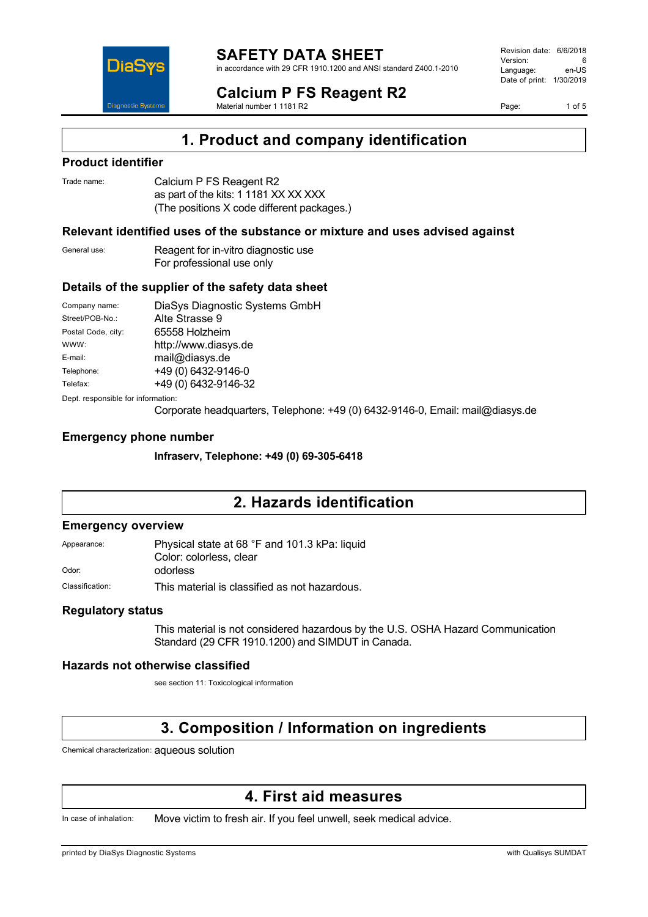

in accordance with 29 CFR 1910.1200 and ANSI standard Z400.1-2010

#### **Calcium P FS Reagent R2** Material number 1 1181 R2

Revision date: 6/6/2018 Version: 6<br>Language: en-LIS Language: Date of print: 1/30/2019

Page: 1 of 5



**1. Product and company identification**

### **Product identifier**

| Trade name: | Calcium P FS Reagent R2                    |
|-------------|--------------------------------------------|
|             | as part of the kits: 1 1181 XX XX XXX      |
|             | (The positions X code different packages.) |

### **Relevant identified uses of the substance or mixture and uses advised against**

General use: Reagent for in-vitro diagnostic use For professional use only

### **Details of the supplier of the safety data sheet**

| Company name:                      | DiaSys Diagnostic Systems GmbH |
|------------------------------------|--------------------------------|
| Street/POB-No.:                    | Alte Strasse 9                 |
| Postal Code, city:                 | 65558 Holzheim                 |
| WWW:                               | http://www.diasys.de           |
| E-mail:                            | mail@diasys.de                 |
| Telephone:                         | +49 (0) 6432-9146-0            |
| Telefax:                           | +49 (0) 6432-9146-32           |
| Dept. responsible for information: |                                |

Corporate headquarters, Telephone: +49 (0) 6432-9146-0, Email: mail@diasys.de

### **Emergency phone number**

**Infraserv, Telephone: +49 (0) 69-305-6418**

### **2. Hazards identification**

#### **Emergency overview**

Appearance: Physical state at 68 °F and 101.3 kPa: liquid Color: colorless, clear Odor: odorless

Classification: This material is classified as not hazardous.

### **Regulatory status**

This material is not considered hazardous by the U.S. OSHA Hazard Communication Standard (29 CFR 1910.1200) and SIMDUT in Canada.

### **Hazards not otherwise classified**

see section 11: Toxicological information

### **3. Composition / Information on ingredients**

Chemical characterization: aqueous solution

### **4. First aid measures**

In case of inhalation: Move victim to fresh air. If you feel unwell, seek medical advice.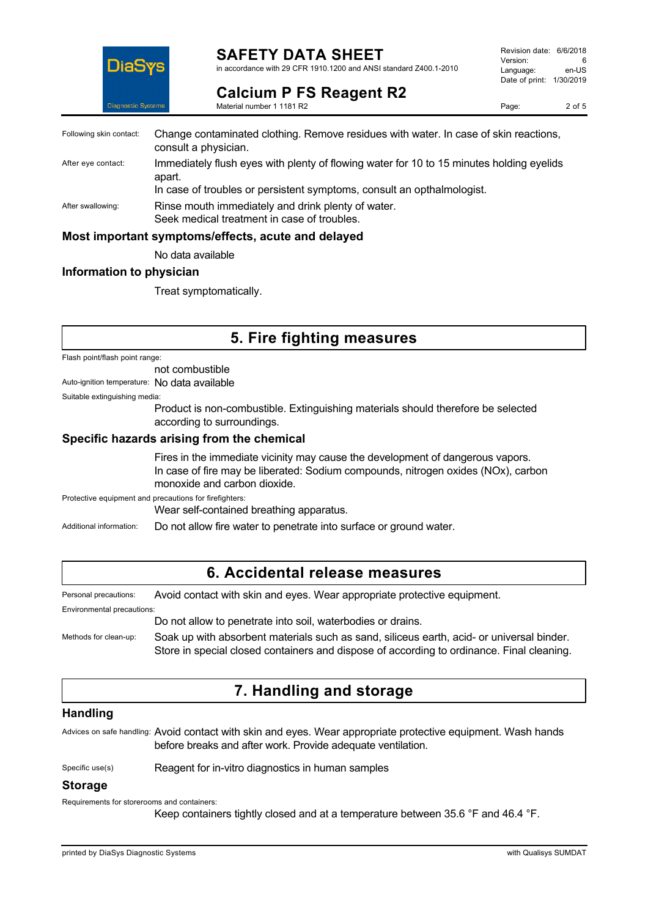

### **SAFETY DATA SHEET**

in accordance with 29 CFR 1910.1200 and ANSI standard Z400.1-2010

Revision date: 6/6/2018 Version: 6<br>Language: en-LIS Language: Date of print: 1/30/2019

**Calcium P FS Reagent R2** Material number 1 1181 R2

Page: 2 of 5

| Following skin contact: | Change contaminated clothing. Remove residues with water. In case of skin reactions,<br>consult a physician.                                                                 |
|-------------------------|------------------------------------------------------------------------------------------------------------------------------------------------------------------------------|
| After eye contact:      | Immediately flush eyes with plenty of flowing water for 10 to 15 minutes holding eyelids<br>apart.<br>In case of troubles or persistent symptoms, consult an opthalmologist. |
| After swallowing:       | Rinse mouth immediately and drink plenty of water.<br>Seek medical treatment in case of troubles.                                                                            |
|                         | Most important symptoms/effects, acute and delayed                                                                                                                           |

No data available

### **Information to physician**

Treat symptomatically.

### **5. Fire fighting measures**

Flash point/flash point range:

not combustible

Auto-ignition temperature: No data available

Suitable extinguishing media:

Product is non-combustible. Extinguishing materials should therefore be selected according to surroundings.

### **Specific hazards arising from the chemical**

Fires in the immediate vicinity may cause the development of dangerous vapors. In case of fire may be liberated: Sodium compounds, nitrogen oxides (NOx), carbon monoxide and carbon dioxide.

Protective equipment and precautions for firefighters:

Wear self-contained breathing apparatus.

Additional information: Do not allow fire water to penetrate into surface or ground water.

### **6. Accidental release measures**

Personal precautions: Avoid contact with skin and eyes. Wear appropriate protective equipment.

Environmental precautions:

Do not allow to penetrate into soil, waterbodies or drains.

Methods for clean-up: Soak up with absorbent materials such as sand, siliceus earth, acid- or universal binder. Store in special closed containers and dispose of according to ordinance. Final cleaning.

### **7. Handling and storage**

### **Handling**

Advices on safe handling: Avoid contact with skin and eyes. Wear appropriate protective equipment. Wash hands before breaks and after work. Provide adequate ventilation.

Specific use(s) Reagent for in-vitro diagnostics in human samples

### **Storage**

Requirements for storerooms and containers:

Keep containers tightly closed and at a temperature between 35.6 °F and 46.4 °F.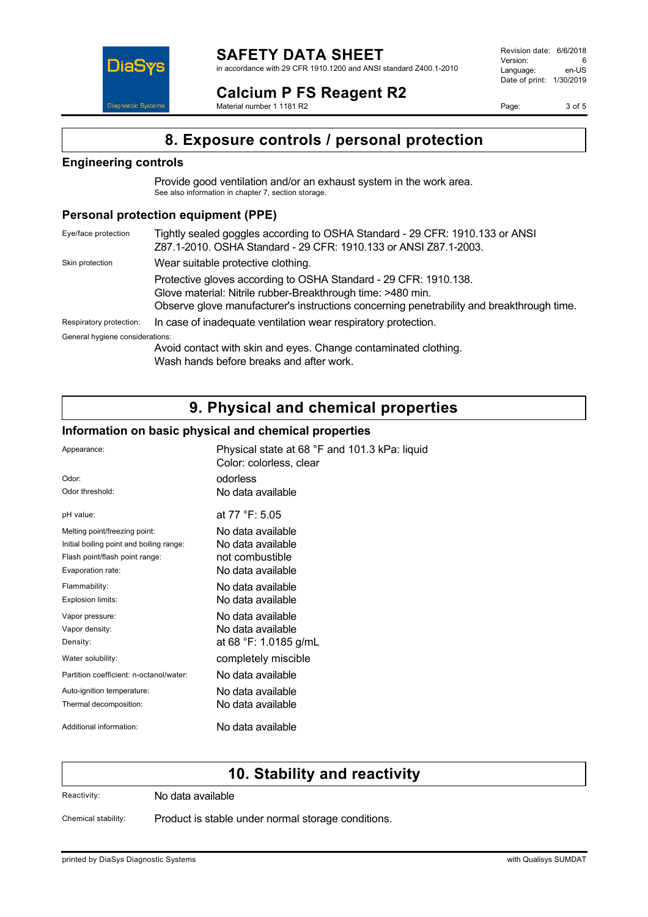in accordance with 29 CFR 1910.1200 and ANSI standard Z400.1-2010

Revision date: 6/6/2018 Version: 6<br>
Language: en-US Language: Date of print: 1/30/2019

**Calcium P FS Reagent R2** Material number 1 1181 R2

Page: 3 of 5

# **8. Exposure controls / personal protection**

### **Engineering controls**

**DiaS** 

**Diagnostic Systen** 

Provide good ventilation and/or an exhaust system in the work area. See also information in chapter 7, section storage.

### **Personal protection equipment (PPE)**

| Eye/face protection             | Tightly sealed goggles according to OSHA Standard - 29 CFR: 1910.133 or ANSI<br>Z87.1-2010. OSHA Standard - 29 CFR: 1910.133 or ANSI Z87.1-2003.                                                                             |
|---------------------------------|------------------------------------------------------------------------------------------------------------------------------------------------------------------------------------------------------------------------------|
| Skin protection                 | Wear suitable protective clothing.                                                                                                                                                                                           |
|                                 | Protective gloves according to OSHA Standard - 29 CFR: 1910.138.<br>Glove material: Nitrile rubber-Breakthrough time: >480 min.<br>Observe glove manufacturer's instructions concerning penetrability and breakthrough time. |
| Respiratory protection:         | In case of inadequate ventilation wear respiratory protection.                                                                                                                                                               |
| General hygiene considerations: | Avoid contact with skin and eyes. Change contaminated clothing.                                                                                                                                                              |

Wash hands before breaks and after work.

# **9. Physical and chemical properties**

### **Information on basic physical and chemical properties**

| Appearance:                              | Physical state at 68 °F and 101.3 kPa: liquid<br>Color: colorless, clear |
|------------------------------------------|--------------------------------------------------------------------------|
| Odor:                                    | odorless                                                                 |
| Odor threshold:                          | No data available                                                        |
| pH value:                                | at 77 °F: 5.05                                                           |
| Melting point/freezing point:            | No data available                                                        |
| Initial boiling point and boiling range: | No data available                                                        |
| Flash point/flash point range:           | not combustible                                                          |
| Evaporation rate:                        | No data available                                                        |
| Flammability:                            | No data available                                                        |
| Explosion limits:                        | No data available                                                        |
| Vapor pressure:                          | No data available                                                        |
| Vapor density:                           | No data available                                                        |
| Density:                                 | at 68 °F: 1.0185 g/mL                                                    |
| Water solubility:                        | completely miscible                                                      |
| Partition coefficient: n-octanol/water:  | No data available                                                        |
| Auto-ignition temperature:               | No data available                                                        |
| Thermal decomposition:                   | No data available                                                        |
| Additional information:                  | No data available                                                        |

### **10. Stability and reactivity**

Reactivity: No data available

Chemical stability: Product is stable under normal storage conditions.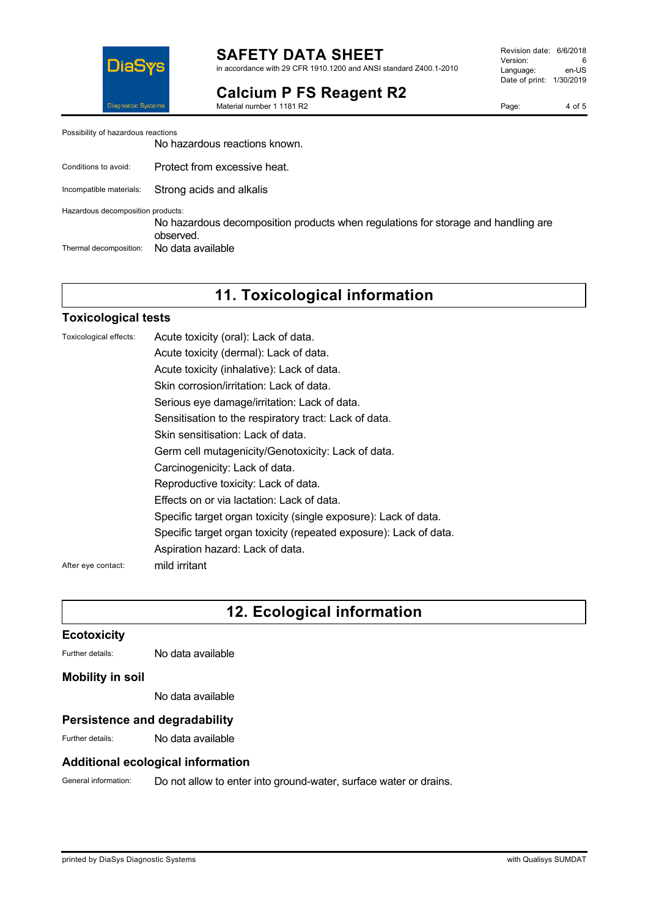

**Calcium P FS Reagent R2**

Material number 1 1181 R2

Page: 4 of 5

Possibility of hazardous reactions

No hazardous reactions known.

- Conditions to avoid: Protect from excessive heat.
- Incompatible materials: Strong acids and alkalis

Hazardous decomposition products:

No hazardous decomposition products when regulations for storage and handling are observed. Thermal decomposition: No data available

## **11. Toxicological information**

### **Toxicological tests**

| Toxicological effects: | Acute toxicity (oral): Lack of data.                              |
|------------------------|-------------------------------------------------------------------|
|                        | Acute toxicity (dermal): Lack of data.                            |
|                        | Acute toxicity (inhalative): Lack of data.                        |
|                        | Skin corrosion/irritation: Lack of data.                          |
|                        | Serious eye damage/irritation: Lack of data.                      |
|                        | Sensitisation to the respiratory tract: Lack of data.             |
|                        | Skin sensitisation: Lack of data.                                 |
|                        | Germ cell mutagenicity/Genotoxicity: Lack of data.                |
|                        | Carcinogenicity: Lack of data.                                    |
|                        | Reproductive toxicity: Lack of data.                              |
|                        | Effects on or via lactation: Lack of data.                        |
|                        | Specific target organ toxicity (single exposure): Lack of data.   |
|                        | Specific target organ toxicity (repeated exposure): Lack of data. |
|                        | Aspiration hazard: Lack of data.                                  |
| After eye contact:     | mild irritant                                                     |
|                        |                                                                   |

# **12. Ecological information**

### **Ecotoxicity**

Further details: No data available

### **Mobility in soil**

No data available

### **Persistence and degradability**

Further details: No data available

### **Additional ecological information**

General information: Do not allow to enter into ground-water, surface water or drains.